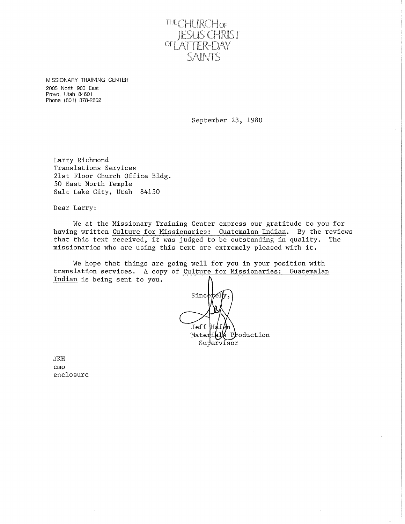

MISSIONARY TRAINING CENTER 2005 North 900 East Provo, Utah 84601 Phone (801) 378-2602

September 23, 1980

Larry Richmond Translations Services 21st Floor Church Office Bldg. 50 East North Temple Salt Lake City, Utah 84150

Dear Larry:

We at the Missionary Training Center express our gratitude to you for having written Culture for Missionaries: Guatemalan Indian. By the reviews that this text received, it was judged to be outstanding in quality. The missionaries who are using this text are extremely pleased with it.

We hope that things are going well for you in your position with translation services. A copy of Culture for Missionaries: Guatemalan Indian is being sent to you,

 $Since$ Jeff Material  $P_{\mathbf{r}}$ oduction Supervisor

JKH cmo enclosure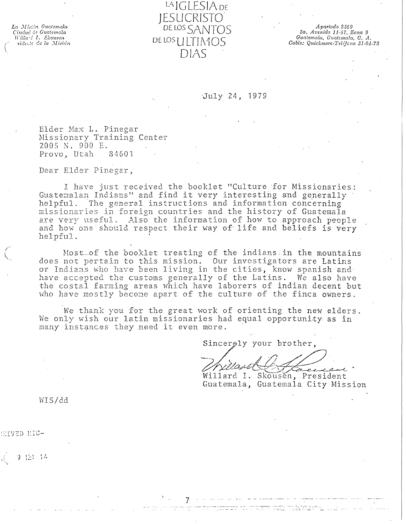La Missin Guotemala Ciudad de Guatemala<br>Willa de Guatemala sidente de la Misión

LAIGLESIADE IFSHCRIST() DE LOS SANTOS DELOS LILTIMOS DIAS

Apartado 2369 3a. Avenida 11-57, Zona 9<br>Gualemala, Gualemala, C. A. Cable: Quickmere-Telefono 31-04-78

## July 24, 1979

Elder Max L. Pinegar Missionary Training Center 2005 N. 900 E. Provo, Utah 84601

Dear Elder Pinegar,

I have just received the booklet "Culture for Missionaries: Guatemalan Indians" and find it very interesting and generally helpful. The general instructions and information concerning missionaries in foreign countries and the history of Guatemala are very useful. Also the information of how to approach people and how one should respect their way of life and beliefs is very helpful.

Most of the booklet treating of the indians in the mountains does not pertain to this mission. Our investigators are Latins or Indians who have been living in the cities, know spanish and have accepted the customs generally of the Latins. We also have the costal farming areas which have laborers of indian decent but who have mostly become apart of the culture of the finca owners.

We thank you for the great work of orienting the new elders. We only wish our latin missionaries had equal opportunity as in many instances they need it even more.

Sincerely your brother,

Willard I. Skousen, President Guatemala, Guatemala City Mission

במשלוש במחבר המודיע המודיעה והמחבר המודיעה.<br>בבין המבינה בכל מידי מבצעה מידיעה היה מידיעה וה

WIS/dd

**STVED HIC-**

9 12: 14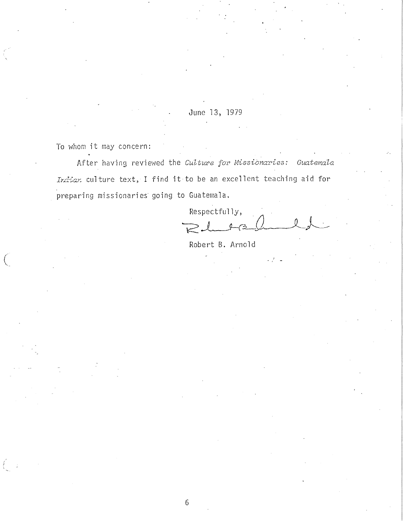June 13, 1979

To whom it may concern:

 $\big($  $\mathcal{L}$ 

After having reviewed the Culture for Missionaries: Guatemala *Irdiar.* culture text, I find it to be an excellent teaching aid for preparing missionaries going to Guatemala.

6

Respectfully,  $P_{\perp}$  rad  $l_{\perp}$ 

Robert B. Arnold